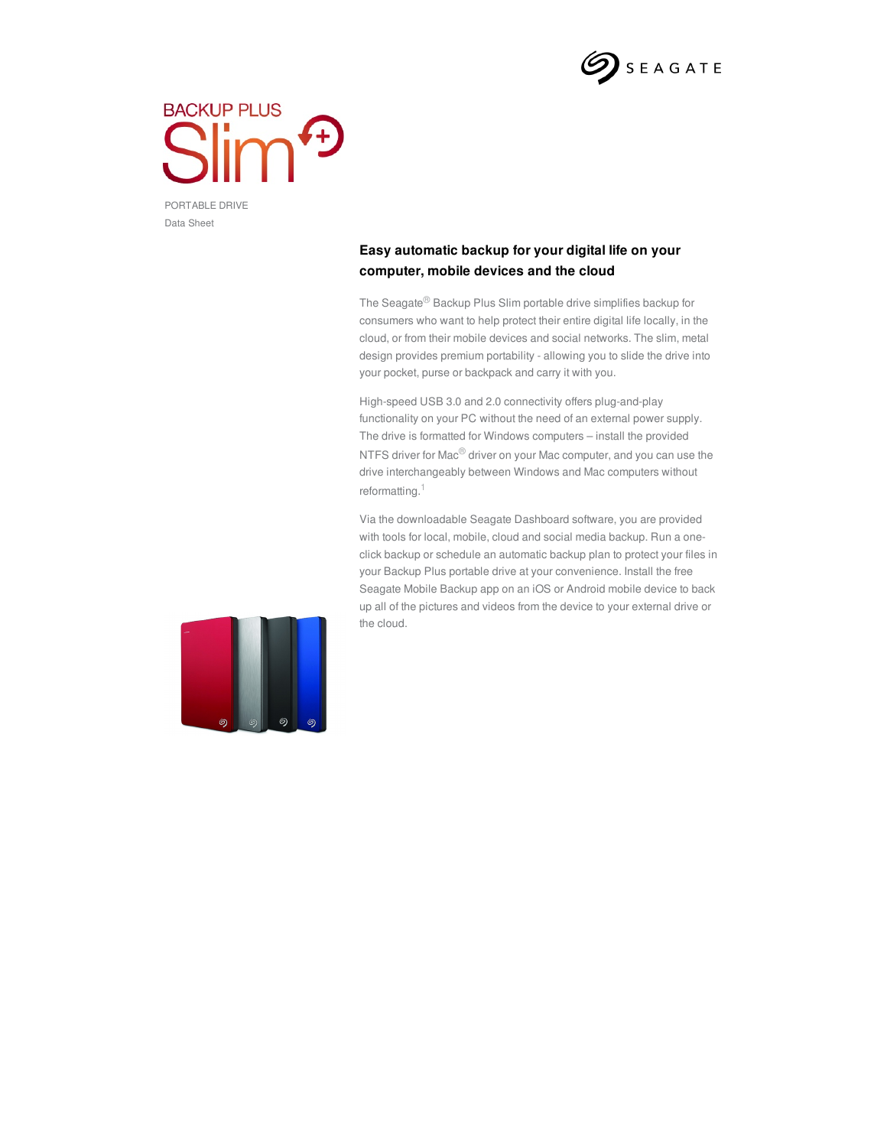

## **BACKUP PLUS**  $\sqrt{f}$

PORTABLE DRIVE Data Sheet

## **Easy automatic backup for your digital life on your computer, mobile devices and the cloud**

The Seagate® Backup Plus Slim portable drive simplifies backup for consumers who want to help protect their entire digital life locally, in the cloud, or from their mobile devices and social networks. The slim, metal design provides premium portability - allowing you to slide the drive into your pocket, purse or backpack and carry it with you.

High-speed USB 3.0 and 2.0 connectivity offers plug-and-play functionality on your PC without the need of an external power supply. The drive is formatted for Windows computers – install the provided NTFS driver for Mac<sup>®</sup> driver on your Mac computer, and you can use the drive interchangeably between Windows and Mac computers without reformatting.<sup>1</sup>

Via the downloadable Seagate Dashboard software, you are provided with tools for local, mobile, cloud and social media backup. Run a oneclick backup or schedule an automatic backup plan to protect your files in your Backup Plus portable drive at your convenience. Install the free Seagate Mobile Backup app on an iOS or Android mobile device to back up all of the pictures and videos from the device to your external drive or the cloud.